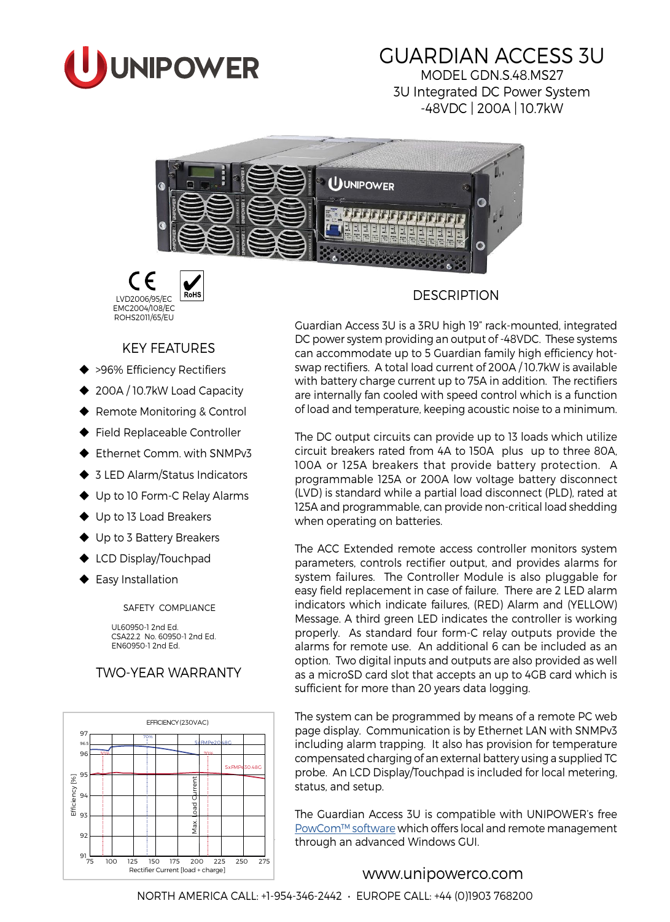

# GUARDIAN ACCESS 3U

MODEL GDN.S.48.MS27 3U Integrated DC Power System -48VDC | 200A | 10.7kW





# KEY FEATURES

- ◆ >96% Efficiency Rectifiers
- ◆ 200A / 10.7kW Load Capacity
- ◆ Remote Monitoring & Control
- Field Replaceable Controller
- ◆ Ethernet Comm. with SNMPv3
- ◆ 3 LED Alarm/Status Indicators
- ◆ Up to 10 Form-C Relay Alarms
- ◆ Up to 13 Load Breakers
- ◆ Up to 3 Battery Breakers
- ◆ LCD Display/Touchpad
- ◆ Easy Installation

SAFETY COMPLIANCE

UL60950-1 2nd Ed. CSA22.2 No. 60950-1 2nd Ed. EN60950-1 2nd Ed.

# TWO-YEAR WARRANTY



# **DESCRIPTION**

Guardian Access 3U is a 3RU high 19" rack-mounted, integrated DC power system providing an output of -48VDC. These systems can accommodate up to 5 Guardian family high efficiency hotswap rectifiers. A total load current of 200A / 10.7kW is available with battery charge current up to 75A in addition. The rectifiers are internally fan cooled with speed control which is a function of load and temperature, keeping acoustic noise to a minimum.

The DC output circuits can provide up to 13 loads which utilize circuit breakers rated from 4A to 150A plus up to three 80A, 100A or 125A breakers that provide battery protection. A programmable 125A or 200A low voltage battery disconnect (LVD) is standard while a partial load disconnect (PLD), rated at 125A and programmable, can provide non-critical load shedding when operating on batteries.

The ACC Extended remote access controller monitors system parameters, controls rectifier output, and provides alarms for system failures. The Controller Module is also pluggable for easy field replacement in case of failure. There are 2 LED alarm indicators which indicate failures, (RED) Alarm and (YELLOW) Message. A third green LED indicates the controller is working properly. As standard four form-C relay outputs provide the alarms for remote use. An additional 6 can be included as an option. Two digital inputs and outputs are also provided as well as a microSD card slot that accepts an up to 4GB card which is sufficient for more than 20 years data logging.

The system can be programmed by means of a remote PC web page display. Communication is by Ethernet LAN with SNMPv3 including alarm trapping. It also has provision for temperature compensated charging of an external battery using a supplied TC probe. An LCD Display/Touchpad is included for local metering, status, and setup.

The Guardian Access 3U is compatible with UNIPOWER's free [PowCom™ software](http://www.unipowerco.com/pdf/powcom-ds.pdf) which offers local and remote management through an advanced Windows GUI.

# [www.unipowerco.com](http://www.unipowerco.com)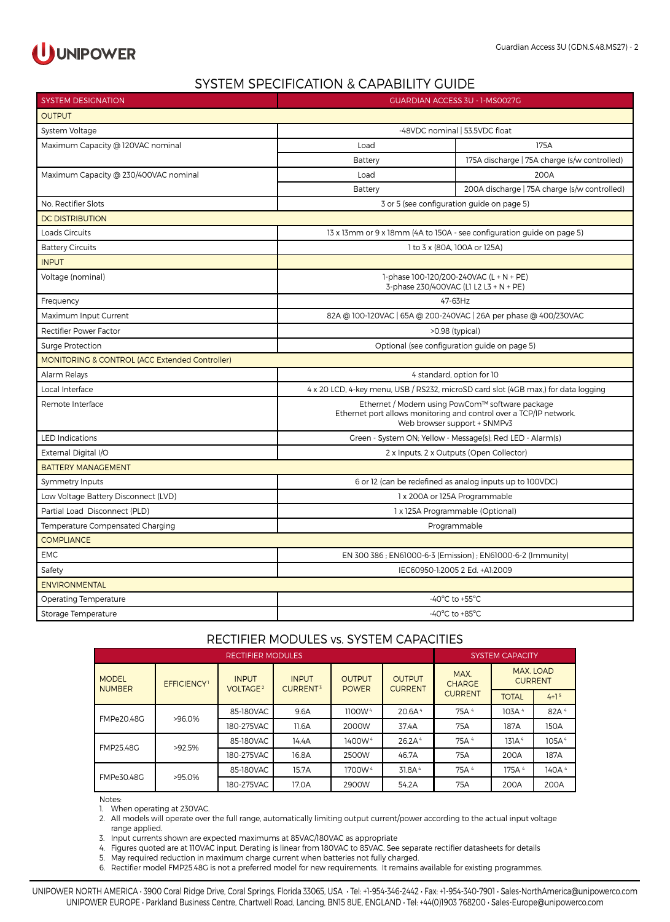

### SYSTEM SPECIFICATION & CAPABILITY GUIDE

| <b>SYSTEM DESIGNATION</b>                                 | <b>GUARDIAN ACCESS 3U - 1-MS0027G</b>                                                                                                                 |                                                                                   |  |  |  |
|-----------------------------------------------------------|-------------------------------------------------------------------------------------------------------------------------------------------------------|-----------------------------------------------------------------------------------|--|--|--|
| <b>OUTPUT</b>                                             |                                                                                                                                                       |                                                                                   |  |  |  |
| System Voltage                                            | -48VDC nominal   53.5VDC float                                                                                                                        |                                                                                   |  |  |  |
| Maximum Capacity @ 120VAC nominal                         | Load                                                                                                                                                  | 175A                                                                              |  |  |  |
|                                                           | Battery                                                                                                                                               | 175A discharge   75A charge (s/w controlled)                                      |  |  |  |
| Maximum Capacity @ 230/400VAC nominal                     | Load                                                                                                                                                  | 200A                                                                              |  |  |  |
|                                                           | Battery                                                                                                                                               | 200A discharge   75A charge (s/w controlled)                                      |  |  |  |
| No. Rectifier Slots                                       |                                                                                                                                                       | 3 or 5 (see configuration guide on page 5)                                        |  |  |  |
| <b>DC DISTRIBUTION</b>                                    |                                                                                                                                                       |                                                                                   |  |  |  |
| Loads Circuits                                            |                                                                                                                                                       | 13 x 13mm or 9 x 18mm (4A to 150A - see configuration guide on page 5)            |  |  |  |
| <b>Battery Circuits</b>                                   |                                                                                                                                                       | 1 to 3 x (80A, 100A or 125A)                                                      |  |  |  |
| <b>INPUT</b>                                              |                                                                                                                                                       |                                                                                   |  |  |  |
| Voltage (nominal)                                         |                                                                                                                                                       | 1-phase 100-120/200-240VAC (L + N + PE)<br>3-phase 230/400VAC (L1 L2 L3 + N + PE) |  |  |  |
| Frequency                                                 |                                                                                                                                                       | 47-63Hz                                                                           |  |  |  |
| Maximum Input Current                                     |                                                                                                                                                       | 82A @ 100-120VAC   65A @ 200-240VAC   26A per phase @ 400/230VAC                  |  |  |  |
| <b>Rectifier Power Factor</b>                             |                                                                                                                                                       | >0.98 (typical)                                                                   |  |  |  |
| <b>Surge Protection</b>                                   | Optional (see configuration guide on page 5)                                                                                                          |                                                                                   |  |  |  |
| <b>MONITORING &amp; CONTROL (ACC Extended Controller)</b> |                                                                                                                                                       |                                                                                   |  |  |  |
| Alarm Relays                                              |                                                                                                                                                       | 4 standard, option for 10                                                         |  |  |  |
| Local Interface                                           | 4 x 20 LCD, 4-key menu, USB / RS232, microSD card slot (4GB max,) for data logging                                                                    |                                                                                   |  |  |  |
| Remote Interface                                          | Ethernet / Modem using PowCom™ software package<br>Ethernet port allows monitoring and control over a TCP/IP network.<br>Web browser support + SNMPv3 |                                                                                   |  |  |  |
| <b>LED Indications</b>                                    | Green - System ON; Yellow - Message(s); Red LED - Alarm(s)                                                                                            |                                                                                   |  |  |  |
| External Digital I/O                                      | 2 x Inputs, 2 x Outputs (Open Collector)                                                                                                              |                                                                                   |  |  |  |
| <b>BATTERY MANAGEMENT</b>                                 |                                                                                                                                                       |                                                                                   |  |  |  |
| Symmetry Inputs                                           |                                                                                                                                                       | 6 or 12 (can be redefined as analog inputs up to 100VDC)                          |  |  |  |
| Low Voltage Battery Disconnect (LVD)                      | 1 x 200A or 125A Programmable                                                                                                                         |                                                                                   |  |  |  |
| Partial Load Disconnect (PLD)                             | 1 x 125A Programmable (Optional)                                                                                                                      |                                                                                   |  |  |  |
| Temperature Compensated Charging                          | Programmable                                                                                                                                          |                                                                                   |  |  |  |
| <b>COMPLIANCE</b>                                         |                                                                                                                                                       |                                                                                   |  |  |  |
| <b>EMC</b>                                                | EN 300 386 ; EN61000-6-3 (Emission) ; EN61000-6-2 (Immunity)                                                                                          |                                                                                   |  |  |  |
| Safety                                                    | IEC60950-1:2005 2 Ed. +A1:2009                                                                                                                        |                                                                                   |  |  |  |
| <b>ENVIRONMENTAL</b>                                      |                                                                                                                                                       |                                                                                   |  |  |  |
| Operating Temperature                                     |                                                                                                                                                       | -40 $^{\circ}$ C to +55 $^{\circ}$ C                                              |  |  |  |
| Storage Temperature                                       | $-40^{\circ}$ C to $+85^{\circ}$ C                                                                                                                    |                                                                                   |  |  |  |

#### RECTIFIER MODULES vs. SYSTEM CAPACITIES

| <b>RECTIFIER MODULES</b>      |                         |                                      |                                      |                               |                                 | <b>SYSTEM CAPACITY</b> |                                    |                   |
|-------------------------------|-------------------------|--------------------------------------|--------------------------------------|-------------------------------|---------------------------------|------------------------|------------------------------------|-------------------|
| <b>MODEL</b><br><b>NUMBER</b> | EFFICIENCY <sup>1</sup> | <b>INPUT</b><br>VOLTAGE <sup>2</sup> | <b>INPUT</b><br>CURRENT <sup>3</sup> | <b>OUTPUT</b><br><b>POWER</b> | <b>OUTPUT</b><br><b>CURRENT</b> | MAX.<br><b>CHARGE</b>  | <b>MAX. LOAD</b><br><b>CURRENT</b> |                   |
|                               |                         |                                      |                                      | <b>CURRENT</b>                | <b>TOTAL</b>                    | $4+15$                 |                                    |                   |
| <b>FMPe20.48G</b>             | $>96.0\%$               | 85-180VAC                            | 9.6A                                 | 1100W <sup>4</sup>            | 20.6A <sup>4</sup>              | 75A <sup>4</sup>       | 103A <sup>4</sup>                  | 82A <sup>4</sup>  |
|                               | 180-275VAC              | 11.6A                                | 2000W                                | 37.4A                         | 75A                             | 187A                   | 150A                               |                   |
| FMP25.48G                     | >92.5%                  | 85-180VAC                            | 14.4A                                | 1400W <sup>4</sup>            | 26.2A <sup>4</sup>              | 75A <sup>4</sup>       | 131A <sup>4</sup>                  | 105A <sup>4</sup> |
|                               | 180-275VAC              | 16.8A                                | 2500W                                | 46.7A                         | 75A                             | 200A                   | 187A                               |                   |
| FMPe30.48G                    | >95.0%                  | 85-180VAC                            | 15.7A                                | 1700W <sup>4</sup>            | 31.8A <sup>4</sup>              | 75A <sup>4</sup>       | 175A <sup>4</sup>                  | 140A <sup>4</sup> |
|                               | 180-275VAC              | 17.0A                                | 2900W                                | 54.2A                         | 75A                             | 200A                   | 200A                               |                   |

Notes:

1. When operating at 230VAC.

2. All models will operate over the full range, automatically limiting output current/power according to the actual input voltage range applied.

3. Input currents shown are expected maximums at 85VAC/180VAC as appropriate

4. Figures quoted are at 110VAC input. Derating is linear from 180VAC to 85VAC. See separate rectifier datasheets for details

5. May required reduction in maximum charge current when batteries not fully charged.

6. Rectifier model FMP25.48G is not a preferred model for new requirements. It remains available for existing programmes.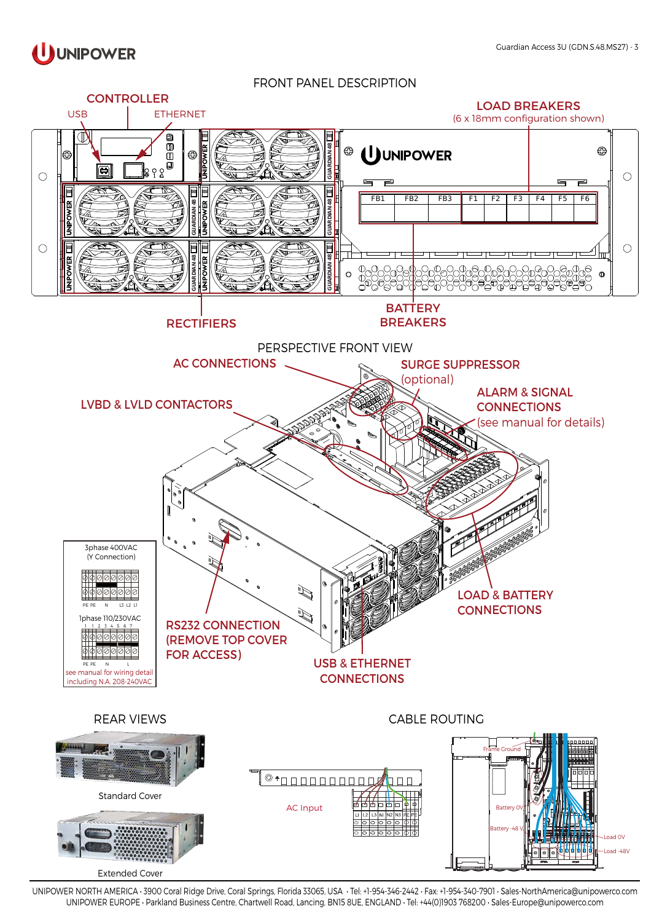

FRONT PANEL DESCRIPTION

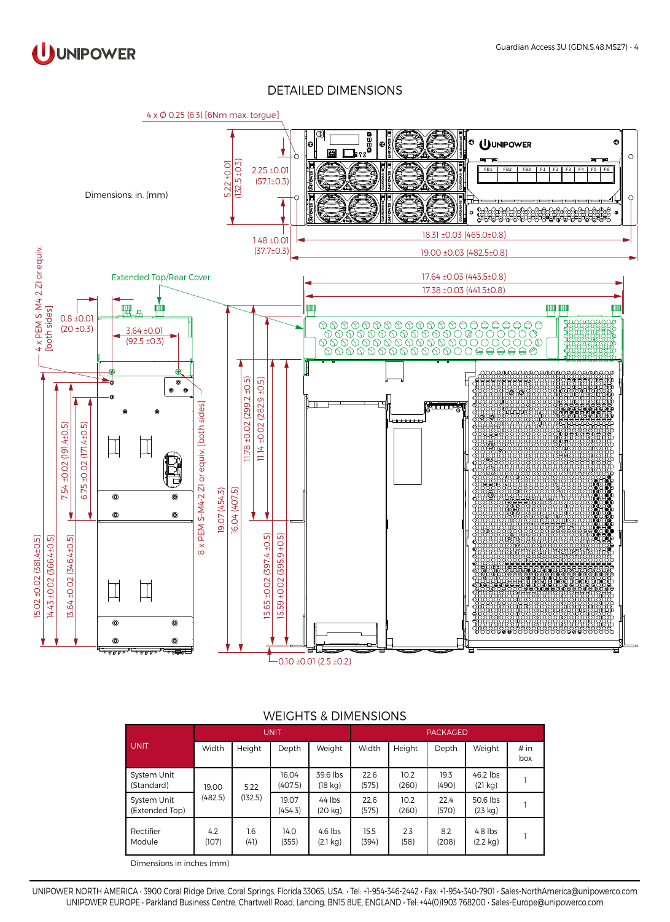

#### DETAILED DIMENSIONS



|                               | <b>UNIT</b>  |             |                  |                                 | <b>PACKAGED</b> |               |               |                                 |             |
|-------------------------------|--------------|-------------|------------------|---------------------------------|-----------------|---------------|---------------|---------------------------------|-------------|
| <b>UNIT</b>                   | Width        | Height      | Depth            | Weight                          | Width           | Height        | Depth         | Weight                          | # in<br>box |
| System Unit<br>(Standard)     | 19.00        | 5.22        | 16.04<br>(407.5) | 39.6 lbs<br>$(18 \text{ kg})$   | 22.6<br>(575)   | 10.2<br>(260) | 19.3<br>(490) | 46.2 lbs<br>(21 kg)             |             |
| System Unit<br>(Extended Top) | (482.5)      | (132.5)     | 19.07<br>(454.3) | $44$ lbs<br>(20 kg)             | 22.6<br>(575)   | 10.2<br>(260) | 22.4<br>(570) | 50.6 lbs<br>(23 kg)             |             |
| Rectifier<br>Module           | 4.2<br>(107) | 1.6<br>(41) | 14.0<br>(355)    | $4.6$ lbs<br>$(2.1 \text{ kg})$ | 15.5<br>(394)   | 2.3<br>(58)   | 8.2<br>(208)  | $4.8$ lbs<br>$(2.2 \text{ kg})$ |             |

#### WEIGHTS & DIMENSIONS

Dimensions in inches (mm)